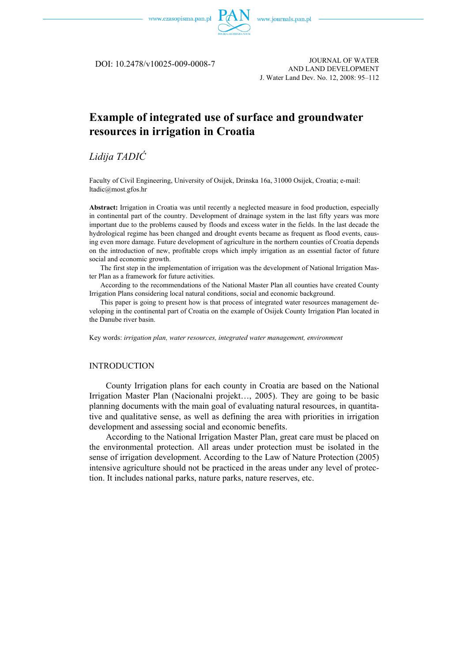

DOI: 10.2478/v10025-009-0008-7

JOURNAL OF WATER AND LAND DEVELOPMENT J. Water Land Dev. No. 12, 2008: 95–112

# **Example of integrated use of surface and groundwater resources in irrigation in Croatia**

# *Lidija TADIĆ*

Faculty of Civil Engineering, University of Osijek, Drinska 16a, 31000 Osijek, Croatia; e-mail: ltadic@most.gfos.hr

**Abstract:** Irrigation in Croatia was until recently a neglected measure in food production, especially in continental part of the country. Development of drainage system in the last fifty years was more important due to the problems caused by floods and excess water in the fields. In the last decade the hydrological regime has been changed and drought events became as frequent as flood events, causing even more damage. Future development of agriculture in the northern counties of Croatia depends on the introduction of new, profitable crops which imply irrigation as an essential factor of future social and economic growth.

The first step in the implementation of irrigation was the development of National Irrigation Master Plan as a framework for future activities.

According to the recommendations of the National Master Plan all counties have created County Irrigation Plans considering local natural conditions, social and economic background.

This paper is going to present how is that process of integrated water resources management developing in the continental part of Croatia on the example of Osijek County Irrigation Plan located in the Danube river basin.

Key words: *irrigation plan, water resources, integrated water management, environment*

### INTRODUCTION

County Irrigation plans for each county in Croatia are based on the National Irrigation Master Plan (Nacionalni projekt…, 2005). They are going to be basic planning documents with the main goal of evaluating natural resources, in quantitative and qualitative sense, as well as defining the area with priorities in irrigation development and assessing social and economic benefits.

According to the National Irrigation Master Plan, great care must be placed on the environmental protection. All areas under protection must be isolated in the sense of irrigation development. According to the Law of Nature Protection (2005) intensive agriculture should not be practiced in the areas under any level of protection. It includes national parks, nature parks, nature reserves, etc.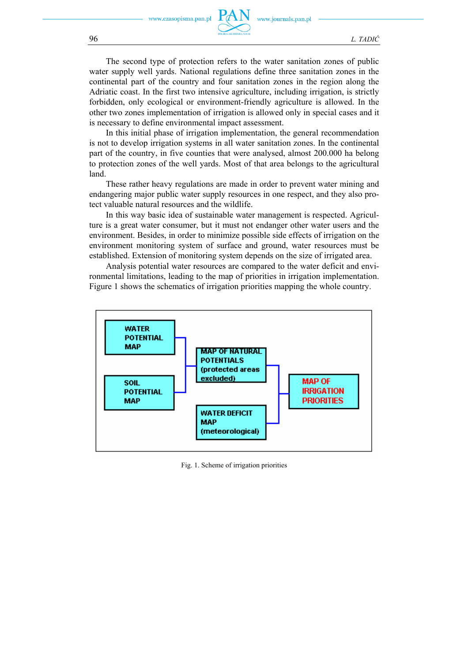The second type of protection refers to the water sanitation zones of public water supply well yards. National regulations define three sanitation zones in the continental part of the country and four sanitation zones in the region along the Adriatic coast. In the first two intensive agriculture, including irrigation, is strictly forbidden, only ecological or environment-friendly agriculture is allowed. In the other two zones implementation of irrigation is allowed only in special cases and it is necessary to define environmental impact assessment.

In this initial phase of irrigation implementation, the general recommendation is not to develop irrigation systems in all water sanitation zones. In the continental part of the country, in five counties that were analysed, almost 200.000 ha belong to protection zones of the well yards. Most of that area belongs to the agricultural land.

These rather heavy regulations are made in order to prevent water mining and endangering major public water supply resources in one respect, and they also protect valuable natural resources and the wildlife.

In this way basic idea of sustainable water management is respected. Agriculture is a great water consumer, but it must not endanger other water users and the environment. Besides, in order to minimize possible side effects of irrigation on the environment monitoring system of surface and ground, water resources must be established. Extension of monitoring system depends on the size of irrigated area.

Analysis potential water resources are compared to the water deficit and environmental limitations, leading to the map of priorities in irrigation implementation. Figure 1 shows the schematics of irrigation priorities mapping the whole country.



Fig. 1. Scheme of irrigation priorities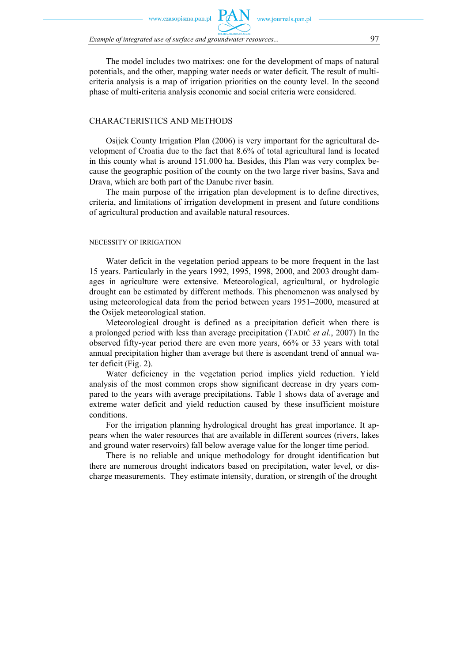zasonisma nan nl

*Example of integrated use of surface and groundwater resources...* 97

The model includes two matrixes: one for the development of maps of natural potentials, and the other, mapping water needs or water deficit. The result of multicriteria analysis is a map of irrigation priorities on the county level. In the second phase of multi-criteria analysis economic and social criteria were considered.

### CHARACTERISTICS AND METHODS

Osijek County Irrigation Plan (2006) is very important for the agricultural development of Croatia due to the fact that 8.6% of total agricultural land is located in this county what is around 151.000 ha. Besides, this Plan was very complex because the geographic position of the county on the two large river basins, Sava and Drava, which are both part of the Danube river basin.

The main purpose of the irrigation plan development is to define directives, criteria, and limitations of irrigation development in present and future conditions of agricultural production and available natural resources.

#### NECESSITY OF IRRIGATION

Water deficit in the vegetation period appears to be more frequent in the last 15 years. Particularly in the years 1992, 1995, 1998, 2000, and 2003 drought damages in agriculture were extensive. Meteorological, agricultural, or hydrologic drought can be estimated by different methods. This phenomenon was analysed by using meteorological data from the period between years 1951–2000, measured at the Osijek meteorological station.

Meteorological drought is defined as a precipitation deficit when there is a prolonged period with less than average precipitation (TADIĆ *et al*., 2007) In the observed fifty-year period there are even more years, 66% or 33 years with total annual precipitation higher than average but there is ascendant trend of annual water deficit (Fig. 2).

Water deficiency in the vegetation period implies yield reduction. Yield analysis of the most common crops show significant decrease in dry years compared to the years with average precipitations. Table 1 shows data of average and extreme water deficit and yield reduction caused by these insufficient moisture conditions.

For the irrigation planning hydrological drought has great importance. It appears when the water resources that are available in different sources (rivers, lakes and ground water reservoirs) fall below average value for the longer time period.

There is no reliable and unique methodology for drought identification but there are numerous drought indicators based on precipitation, water level, or discharge measurements. They estimate intensity, duration, or strength of the drought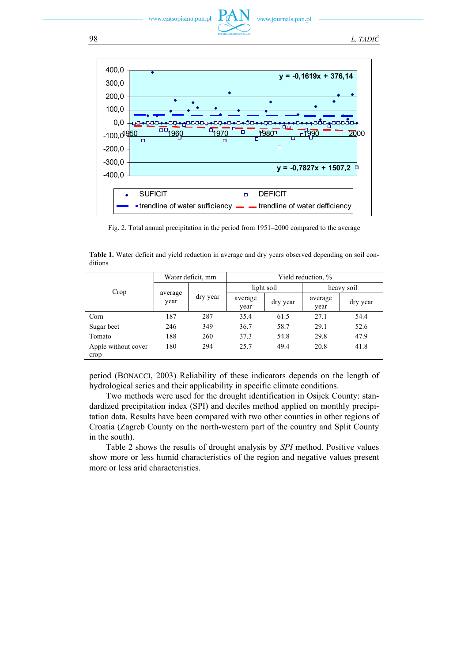



Fig. 2. Total annual precipitation in the period from 1951–2000 compared to the average

|                             | Water deficit, mm |          | Yield reduction, % |          |                 |          |
|-----------------------------|-------------------|----------|--------------------|----------|-----------------|----------|
| Crop                        | average<br>year   | dry year | light soil         |          | heavy soil      |          |
|                             |                   |          | average<br>year    | dry year | average<br>year | dry year |
| Corn                        | 187               | 287      | 35.4               | 61.5     | 27.1            | 54.4     |
| Sugar beet                  | 246               | 349      | 36.7               | 58.7     | 29.1            | 52.6     |
| Tomato                      | 188               | 260      | 37.3               | 54.8     | 29.8            | 47.9     |
| Apple without cover<br>crop | 180               | 294      | 25.7               | 49.4     | 20.8            | 41.8     |

**Table 1.** Water deficit and yield reduction in average and dry years observed depending on soil conditions

period (BONACCI, 2003) Reliability of these indicators depends on the length of hydrological series and their applicability in specific climate conditions.

Two methods were used for the drought identification in Osijek County: standardized precipitation index (SPI) and deciles method applied on monthly precipitation data. Results have been compared with two other counties in other regions of Croatia (Zagreb County on the north-western part of the country and Split County in the south).

Table 2 shows the results of drought analysis by *SPI* method. Positive values show more or less humid characteristics of the region and negative values present more or less arid characteristics.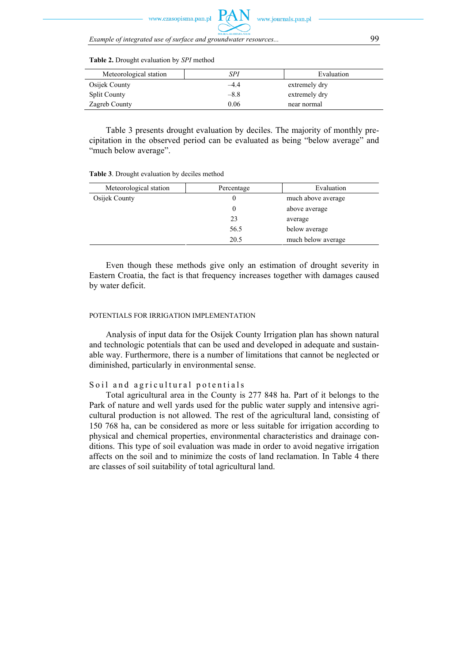

*Example of integrated use of surface and groundwater resources...* 99

| Meteorological station | SPI    | Evaluation    |
|------------------------|--------|---------------|
| Osijek County          | -4.4   | extremely dry |
| <b>Split County</b>    | $-8.8$ | extremely dry |
| Zagreb County          | 0.06   | near normal   |

**Table 2.** Drought evaluation by *SPI* method

Table 3 presents drought evaluation by deciles. The majority of monthly precipitation in the observed period can be evaluated as being "below average" and "much below average".

| Meteorological station | Percentage | Evaluation         |  |
|------------------------|------------|--------------------|--|
| Osijek County          |            | much above average |  |
|                        |            | above average      |  |
|                        | 23         | average            |  |
|                        | 56.5       | below average      |  |
|                        | 20.5       | much below average |  |

**Table 3**. Drought evaluation by deciles method

Even though these methods give only an estimation of drought severity in Eastern Croatia, the fact is that frequency increases together with damages caused by water deficit.

#### POTENTIALS FOR IRRIGATION IMPLEMENTATION

Analysis of input data for the Osijek County Irrigation plan has shown natural and technologic potentials that can be used and developed in adequate and sustainable way. Furthermore, there is a number of limitations that cannot be neglected or diminished, particularly in environmental sense.

#### Soil and agricultural potentials

Total agricultural area in the County is 277 848 ha. Part of it belongs to the Park of nature and well yards used for the public water supply and intensive agricultural production is not allowed. The rest of the agricultural land, consisting of 150 768 ha, can be considered as more or less suitable for irrigation according to physical and chemical properties, environmental characteristics and drainage conditions. This type of soil evaluation was made in order to avoid negative irrigation affects on the soil and to minimize the costs of land reclamation. In Table 4 there are classes of soil suitability of total agricultural land.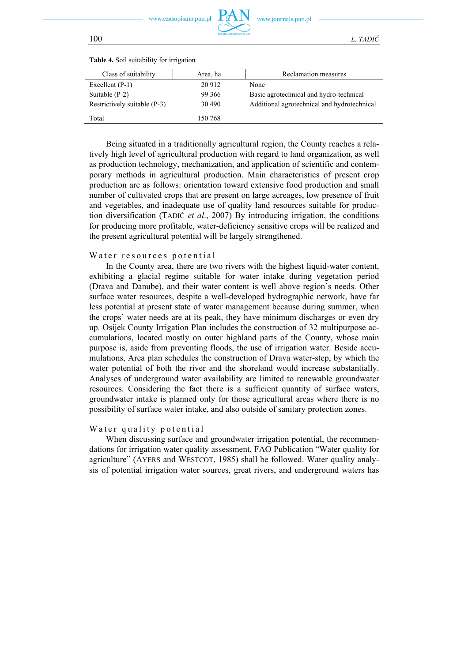

100 *L. TADIĆ*

| Class of suitability         | Area, ha | Reclamation measures                        |
|------------------------------|----------|---------------------------------------------|
| Excellent $(P-1)$            | 20 912   | None                                        |
| Suitable $(P-2)$             | 99 366   | Basic agrotechnical and hydro-technical     |
| Restrictively suitable (P-3) | 30 490   | Additional agrotechnical and hydrotechnical |
| Total                        | 150 768  |                                             |
|                              |          |                                             |

**Table 4.** Soil suitability for irrigation

Being situated in a traditionally agricultural region, the County reaches a relatively high level of agricultural production with regard to land organization, as well as production technology, mechanization, and application of scientific and contemporary methods in agricultural production. Main characteristics of present crop production are as follows: orientation toward extensive food production and small number of cultivated crops that are present on large acreages, low presence of fruit and vegetables, and inadequate use of quality land resources suitable for production diversification (TADIĆ *et al*., 2007) By introducing irrigation, the conditions for producing more profitable, water-deficiency sensitive crops will be realized and the present agricultural potential will be largely strengthened.

#### Water resources potential

In the County area, there are two rivers with the highest liquid-water content, exhibiting a glacial regime suitable for water intake during vegetation period (Drava and Danube), and their water content is well above region's needs. Other surface water resources, despite a well-developed hydrographic network, have far less potential at present state of water management because during summer, when the crops' water needs are at its peak, they have minimum discharges or even dry up. Osijek County Irrigation Plan includes the construction of 32 multipurpose accumulations, located mostly on outer highland parts of the County, whose main purpose is, aside from preventing floods, the use of irrigation water. Beside accumulations, Area plan schedules the construction of Drava water-step, by which the water potential of both the river and the shoreland would increase substantially. Analyses of underground water availability are limited to renewable groundwater resources. Considering the fact there is a sufficient quantity of surface waters, groundwater intake is planned only for those agricultural areas where there is no possibility of surface water intake, and also outside of sanitary protection zones.

#### Water quality potential

When discussing surface and groundwater irrigation potential, the recommendations for irrigation water quality assessment, FAO Publication "Water quality for agriculture" (AYERS and WESTCOT, 1985) shall be followed. Water quality analysis of potential irrigation water sources, great rivers, and underground waters has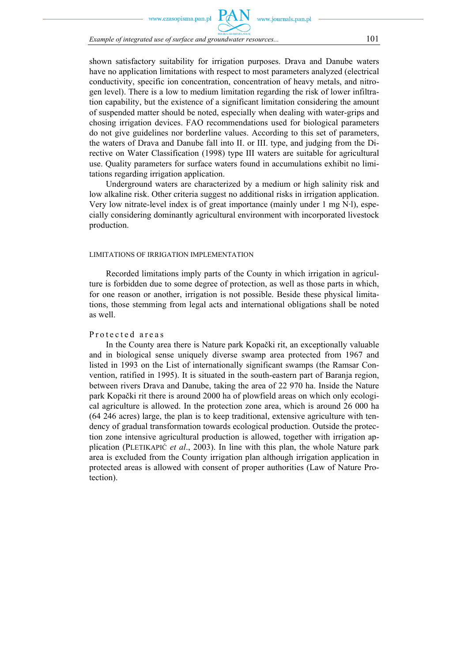zasonisma nan nl

*Example of integrated use of surface and groundwater resources...* 101

shown satisfactory suitability for irrigation purposes. Drava and Danube waters have no application limitations with respect to most parameters analyzed (electrical conductivity, specific ion concentration, concentration of heavy metals, and nitrogen level). There is a low to medium limitation regarding the risk of lower infiltration capability, but the existence of a significant limitation considering the amount of suspended matter should be noted, especially when dealing with water-grips and chosing irrigation devices. FAO recommendations used for biological parameters do not give guidelines nor borderline values. According to this set of parameters, the waters of Drava and Danube fall into II. or III. type, and judging from the Directive on Water Classification (1998) type III waters are suitable for agricultural use. Quality parameters for surface waters found in accumulations exhibit no limitations regarding irrigation application.

Underground waters are characterized by a medium or high salinity risk and low alkaline risk. Other criteria suggest no additional risks in irrigation application. Very low nitrate-level index is of great importance (mainly under 1 mg N·l), especially considering dominantly agricultural environment with incorporated livestock production.

#### LIMITATIONS OF IRRIGATION IMPLEMENTATION

Recorded limitations imply parts of the County in which irrigation in agriculture is forbidden due to some degree of protection, as well as those parts in which, for one reason or another, irrigation is not possible. Beside these physical limitations, those stemming from legal acts and international obligations shall be noted as well.

### Protected areas

In the County area there is Nature park Kopački rit, an exceptionally valuable and in biological sense uniquely diverse swamp area protected from 1967 and listed in 1993 on the List of internationally significant swamps (the Ramsar Convention, ratified in 1995). It is situated in the south-eastern part of Baranja region, between rivers Drava and Danube, taking the area of 22 970 ha. Inside the Nature park Kopački rit there is around 2000 ha of plowfield areas on which only ecological agriculture is allowed. In the protection zone area, which is around 26 000 ha (64 246 acres) large, the plan is to keep traditional, extensive agriculture with tendency of gradual transformation towards ecological production. Outside the protection zone intensive agricultural production is allowed, together with irrigation application (PLETIKAPIĆ *et al*., 2003). In line with this plan, the whole Nature park area is excluded from the County irrigation plan although irrigation application in protected areas is allowed with consent of proper authorities (Law of Nature Protection).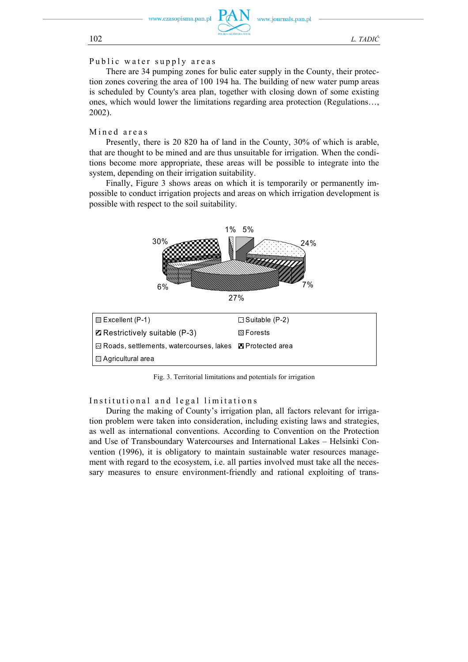

## Public water supply areas

There are 34 pumping zones for bulic eater supply in the County, their protection zones covering the area of 100 194 ha. The building of new water pump areas is scheduled by County's area plan, together with closing down of some existing ones, which would lower the limitations regarding area protection (Regulations…, 2002).

## Mined areas

Presently, there is 20 820 ha of land in the County, 30% of which is arable, that are thought to be mined and are thus unsuitable for irrigation. When the conditions become more appropriate, these areas will be possible to integrate into the system, depending on their irrigation suitability.

Finally, Figure 3 shows areas on which it is temporarily or permanently impossible to conduct irrigation projects and areas on which irrigation development is possible with respect to the soil suitability.



Fig. 3. Territorial limitations and potentials for irrigation

Institutional and legal limitations

During the making of County's irrigation plan, all factors relevant for irrigation problem were taken into consideration, including existing laws and strategies, as well as international conventions. According to Convention on the Protection and Use of Transboundary Watercourses and International Lakes – Helsinki Convention (1996), it is obligatory to maintain sustainable water resources management with regard to the ecosystem, i.e. all parties involved must take all the necessary measures to ensure environment-friendly and rational exploiting of trans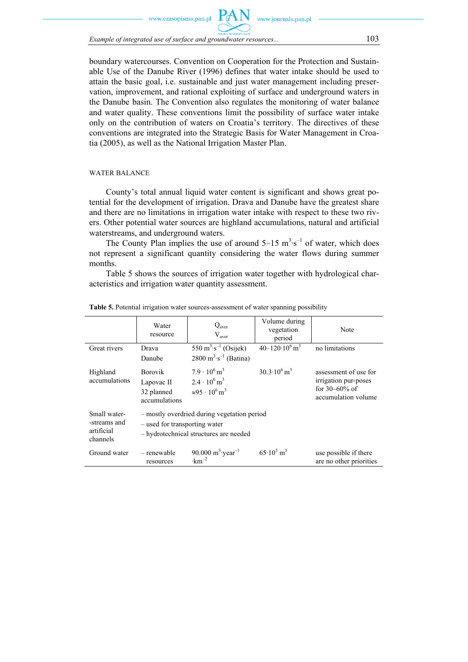w czasonisma nan nl

*Example of integrated use of surface and groundwater resources...*  $103$ 

boundary watercourses. Convention on Cooperation for the Protection and Sustainable Use of the Danube River (1996) defines that water intake should be used to attain the basic goal, i.e. sustainable and just water management including preservation, improvement, and rational exploiting of surface and underground waters in the Danube basin. The Convention also regulates the monitoring of water balance and water quality. These conventions limit the possibility of surface water intake only on the contribution of waters on Croatia's territory. The directives of these conventions are integrated into the Strategic Basis for Water Management in Croatia (2005), as well as the National Irrigation Master Plan.

#### WATER BALANCE

County's total annual liquid water content is significant and shows great potential for the development of irrigation. Drava and Danube have the greatest share and there are no limitations in irrigation water intake with respect to these two rivers. Other potential water sources are highland accumulations, natural and artificial waterstreams, and underground waters.

The County Plan implies the use of around  $5-15 \text{ m}^3 \cdot \text{s}^{-1}$  of water, which does not represent a significant quantity considering the water flows during summer months.

Table 5 shows the sources of irrigation water together with hydrological characteristics and irrigation water quantity assessment.

|                                                        | Water<br>resource                                                                                                      | Q <sub>aver</sub><br>V <sub>aver</sub>                                                                       | Volume during<br>vegetation<br>period | Note                                                                                       |
|--------------------------------------------------------|------------------------------------------------------------------------------------------------------------------------|--------------------------------------------------------------------------------------------------------------|---------------------------------------|--------------------------------------------------------------------------------------------|
| Great rivers                                           | Drava                                                                                                                  | 550 $m^3 \cdot s^{-1}$ (Osijek)                                                                              | $40 - 120 \cdot 10^6$ m <sup>3</sup>  | no limitations                                                                             |
|                                                        | Danube                                                                                                                 | $2800 \text{ m}^3 \cdot \text{s}^{-1}$ (Batina)                                                              |                                       |                                                                                            |
| Highland<br>accumulations                              | <b>Borovik</b><br>Lapovac II<br>32 planned<br>accumulations                                                            | $7.9 \cdot 10^6$ m <sup>3</sup><br>$2.4 \cdot 10^6$ m <sup>3</sup><br>$\approx 95 \cdot 10^6 \,\mathrm{m}^3$ | $30.3 \cdot 10^6$ m <sup>3</sup>      | assessment of use for<br>irrigation pur-poses<br>for $30 - 60\%$ of<br>accumulation volume |
| Small water-<br>-streams and<br>artificial<br>channels | - mostly overdried during vegetation period<br>- used for transporting water<br>- hydrotechnical structures are needed |                                                                                                              |                                       |                                                                                            |
| Ground water                                           | - renewable<br>resources                                                                                               | 90.000 $m^3$ ·year <sup>-1</sup><br>$\cdot$ km <sup>-2</sup>                                                 | $65 \cdot 10^3$ m <sup>3</sup>        | use possible if there<br>are no other priorities                                           |

**Table 5.** Potential irrigation water sources-assessment of water spanning possibility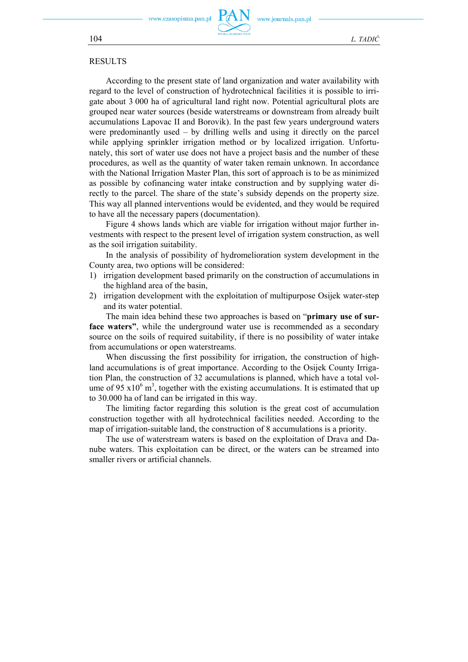.czasopisma.pan.pl

www.journals.pan.pl

104 *L. TADIĆ*

### RESULTS

According to the present state of land organization and water availability with regard to the level of construction of hydrotechnical facilities it is possible to irrigate about 3 000 ha of agricultural land right now. Potential agricultural plots are grouped near water sources (beside waterstreams or downstream from already built accumulations Lapovac II and Borovik). In the past few years underground waters were predominantly used – by drilling wells and using it directly on the parcel while applying sprinkler irrigation method or by localized irrigation. Unfortunately, this sort of water use does not have a project basis and the number of these procedures, as well as the quantity of water taken remain unknown. In accordance with the National Irrigation Master Plan, this sort of approach is to be as minimized as possible by cofinancing water intake construction and by supplying water directly to the parcel. The share of the state's subsidy depends on the property size. This way all planned interventions would be evidented, and they would be required to have all the necessary papers (documentation).

Figure 4 shows lands which are viable for irrigation without major further investments with respect to the present level of irrigation system construction, as well as the soil irrigation suitability.

In the analysis of possibility of hydromelioration system development in the County area, two options will be considered:

- 1) irrigation development based primarily on the construction of accumulations in the highland area of the basin,
- 2) irrigation development with the exploitation of multipurpose Osijek water-step and its water potential.

The main idea behind these two approaches is based on "**primary use of surface waters"**, while the underground water use is recommended as a secondary source on the soils of required suitability, if there is no possibility of water intake from accumulations or open waterstreams.

When discussing the first possibility for irrigation, the construction of highland accumulations is of great importance. According to the Osijek County Irrigation Plan, the construction of 32 accumulations is planned, which have a total volume of 95  $x10^6$  m<sup>3</sup>, together with the existing accumulations. It is estimated that up to 30.000 ha of land can be irrigated in this way.

The limiting factor regarding this solution is the great cost of accumulation construction together with all hydrotechnical facilities needed. According to the map of irrigation-suitable land, the construction of 8 accumulations is a priority.

The use of waterstream waters is based on the exploitation of Drava and Danube waters. This exploitation can be direct, or the waters can be streamed into smaller rivers or artificial channels.

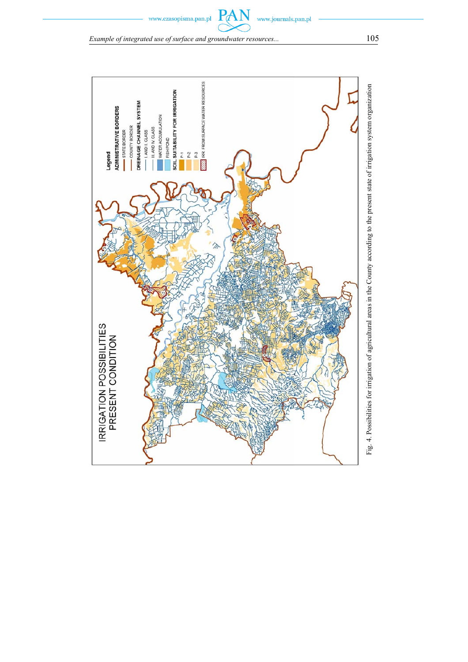*Example of integrated use of surface and groundwater resources...* 105

 $\mathbf{P}_d$ 

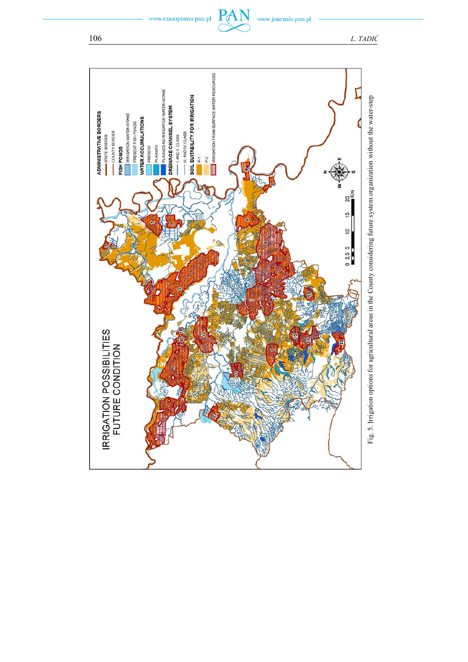www.czasopisma.pan.pl

www.journals.pan.pl

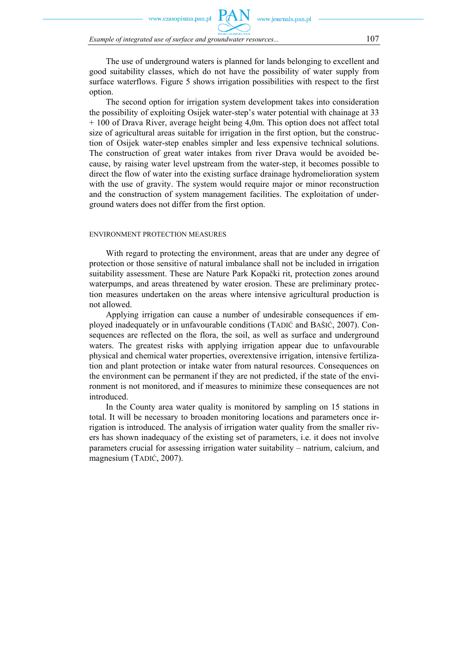zasonisma nan nl

*Example of integrated use of surface and groundwater resources...* 107

The use of underground waters is planned for lands belonging to excellent and good suitability classes, which do not have the possibility of water supply from surface waterflows. Figure 5 shows irrigation possibilities with respect to the first option.

www.journals.pan.pl

The second option for irrigation system development takes into consideration the possibility of exploiting Osijek water-step's water potential with chainage at 33 + 100 of Drava River, average height being 4,0m. This option does not affect total size of agricultural areas suitable for irrigation in the first option, but the construction of Osijek water-step enables simpler and less expensive technical solutions. The construction of great water intakes from river Drava would be avoided because, by raising water level upstream from the water-step, it becomes possible to direct the flow of water into the existing surface drainage hydromelioration system with the use of gravity. The system would require major or minor reconstruction and the construction of system management facilities. The exploitation of underground waters does not differ from the first option.

#### ENVIRONMENT PROTECTION MEASURES

With regard to protecting the environment, areas that are under any degree of protection or those sensitive of natural imbalance shall not be included in irrigation suitability assessment. These are Nature Park Kopački rit, protection zones around waterpumps, and areas threatened by water erosion. These are preliminary protection measures undertaken on the areas where intensive agricultural production is not allowed.

Applying irrigation can cause a number of undesirable consequences if employed inadequately or in unfavourable conditions (TADIĆ and BAŠIĆ, 2007). Consequences are reflected on the flora, the soil, as well as surface and underground waters. The greatest risks with applying irrigation appear due to unfavourable physical and chemical water properties, overextensive irrigation, intensive fertilization and plant protection or intake water from natural resources. Consequences on the environment can be permanent if they are not predicted, if the state of the environment is not monitored, and if measures to minimize these consequences are not introduced.

In the County area water quality is monitored by sampling on 15 stations in total. It will be necessary to broaden monitoring locations and parameters once irrigation is introduced. The analysis of irrigation water quality from the smaller rivers has shown inadequacy of the existing set of parameters, i.e. it does not involve parameters crucial for assessing irrigation water suitability – natrium, calcium, and magnesium (TADIĆ, 2007).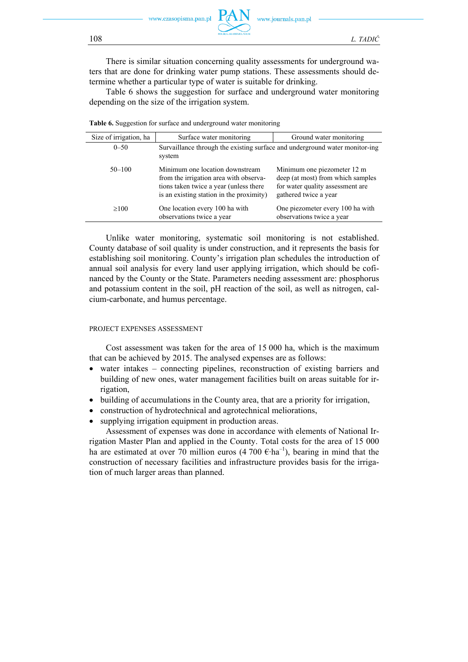ww czasonisma nan nl



There is similar situation concerning quality assessments for underground waters that are done for drinking water pump stations. These assessments should determine whether a particular type of water is suitable for drinking.

Table 6 shows the suggestion for surface and underground water monitoring depending on the size of the irrigation system.

| Size of irrigation, ha | Surface water monitoring                                                                                                                                        | Ground water monitoring                                                                                                       |  |
|------------------------|-----------------------------------------------------------------------------------------------------------------------------------------------------------------|-------------------------------------------------------------------------------------------------------------------------------|--|
| $0 - 50$               | Survaillance through the existing surface and underground water monitor-ing<br>system                                                                           |                                                                                                                               |  |
| $50 - 100$             | Minimum one location downstream<br>from the irrigation area with observa-<br>tions taken twice a year (unless there<br>is an existing station in the proximity) | Minimum one piezometer 12 m<br>deep (at most) from which samples<br>for water quality assessment are<br>gathered twice a year |  |
| $\geq 100$             | One location every 100 ha with<br>observations twice a year                                                                                                     | One piezometer every 100 ha with<br>observations twice a year                                                                 |  |

**Table 6.** Suggestion for surface and underground water monitoring

Unlike water monitoring, systematic soil monitoring is not established. County database of soil quality is under construction, and it represents the basis for establishing soil monitoring. County's irrigation plan schedules the introduction of annual soil analysis for every land user applying irrigation, which should be cofinanced by the County or the State. Parameters needing assessment are: phosphorus and potassium content in the soil, pH reaction of the soil, as well as nitrogen, calcium-carbonate, and humus percentage.

#### PROJECT EXPENSES ASSESSMENT

Cost assessment was taken for the area of 15 000 ha, which is the maximum that can be achieved by 2015. The analysed expenses are as follows:

- water intakes connecting pipelines, reconstruction of existing barriers and building of new ones, water management facilities built on areas suitable for irrigation,
- building of accumulations in the County area, that are a priority for irrigation,
- construction of hydrotechnical and agrotechnical meliorations,
- supplying irrigation equipment in production areas.

Assessment of expenses was done in accordance with elements of National Irrigation Master Plan and applied in the County. Total costs for the area of 15 000 ha are estimated at over 70 million euros (4 700  $\epsilon$ -ha<sup>-1</sup>), bearing in mind that the construction of necessary facilities and infrastructure provides basis for the irrigation of much larger areas than planned.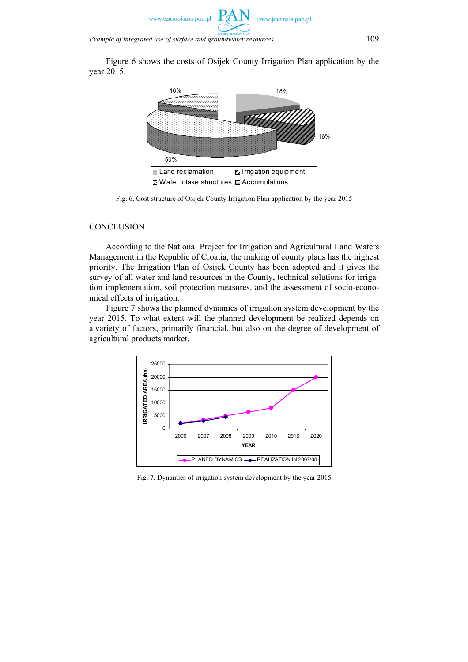www.czasopisma.pan.pl

*Example of integrated use of surface and groundwater resources...* 109

Figure 6 shows the costs of Osijek County Irrigation Plan application by the year 2015.



Fig. 6. Cost structure of Osijek County Irrigation Plan application by the year 2015

### **CONCLUSION**

According to the National Project for Irrigation and Agricultural Land Waters Management in the Republic of Croatia, the making of county plans has the highest priority. The Irrigation Plan of Osijek County has been adopted and it gives the survey of all water and land resources in the County, technical solutions for irrigation implementation, soil protection measures, and the assessment of socio-economical effects of irrigation.

Figure 7 shows the planned dynamics of irrigation system development by the year 2015. To what extent will the planned development be realized depends on a variety of factors, primarily financial, but also on the degree of development of agricultural products market.



Fig. 7. Dynamics of irrigation system development by the year 2015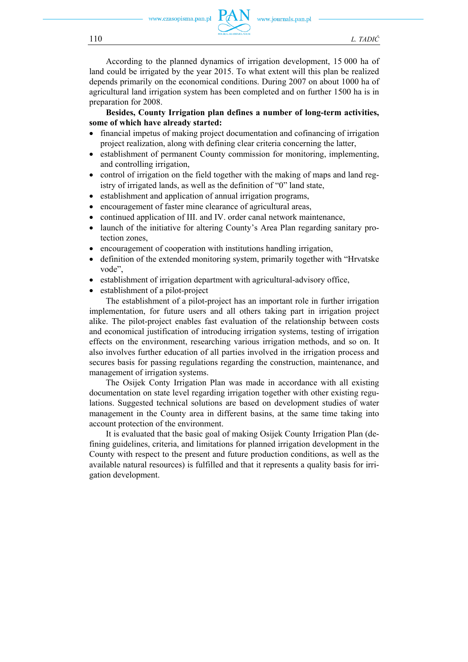w.czasopisma.pan.pl



www.journals.pan.pl

According to the planned dynamics of irrigation development, 15 000 ha of land could be irrigated by the year 2015. To what extent will this plan be realized depends primarily on the economical conditions. During 2007 on about 1000 ha of agricultural land irrigation system has been completed and on further 1500 ha is in preparation for 2008.

**Besides, County Irrigation plan defines a number of long-term activities, some of which have already started:** 

- financial impetus of making project documentation and cofinancing of irrigation project realization, along with defining clear criteria concerning the latter,
- establishment of permanent County commission for monitoring, implementing, and controlling irrigation,
- control of irrigation on the field together with the making of maps and land registry of irrigated lands, as well as the definition of "0" land state,
- establishment and application of annual irrigation programs,
- encouragement of faster mine clearance of agricultural areas,
- continued application of III. and IV. order canal network maintenance,
- launch of the initiative for altering County's Area Plan regarding sanitary protection zones,
- encouragement of cooperation with institutions handling irrigation,
- definition of the extended monitoring system, primarily together with "Hrvatske vode",
- establishment of irrigation department with agricultural-advisory office,
- establishment of a pilot-project

The establishment of a pilot-project has an important role in further irrigation implementation, for future users and all others taking part in irrigation project alike. The pilot-project enables fast evaluation of the relationship between costs and economical justification of introducing irrigation systems, testing of irrigation effects on the environment, researching various irrigation methods, and so on. It also involves further education of all parties involved in the irrigation process and secures basis for passing regulations regarding the construction, maintenance, and management of irrigation systems.

The Osijek Conty Irrigation Plan was made in accordance with all existing documentation on state level regarding irrigation together with other existing regulations. Suggested technical solutions are based on development studies of water management in the County area in different basins, at the same time taking into account protection of the environment.

It is evaluated that the basic goal of making Osijek County Irrigation Plan (defining guidelines, criteria, and limitations for planned irrigation development in the County with respect to the present and future production conditions, as well as the available natural resources) is fulfilled and that it represents a quality basis for irrigation development.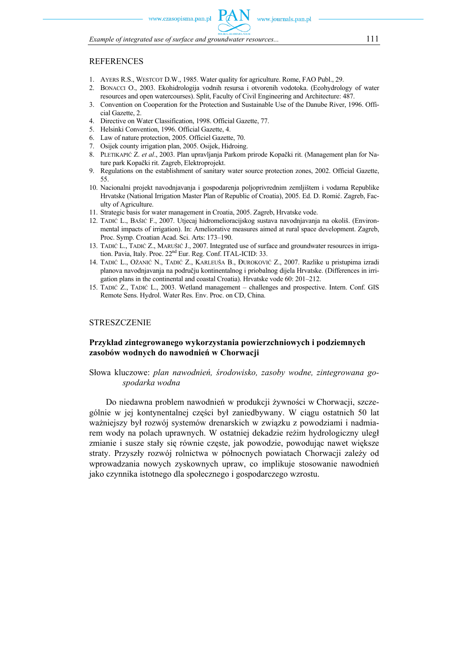*Example of integrated use of surface and groundwater resources...* 111

## REFERENCES

- 1. AYERS R.S., WESTCOT D.W., 1985. Water quality for agriculture. Rome, FAO Publ., 29.
- 2. BONACCI O., 2003. Ekohidrologija vodnih resursa i otvorenih vodotoka. (Ecohydrology of water resources and open watercourses). Split, Faculty of Civil Engineering and Architecture: 487.
- 3. Convention on Cooperation for the Protection and Sustainable Use of the Danube River, 1996. Official Gazette, 2.
- 4. Directive on Water Classification, 1998. Official Gazette, 77.
- 5. Helsinki Convention, 1996. Official Gazette, 4.
- 6. Law of nature protection, 2005. Officiel Gazette, 70.
- 7. Osijek county irrigation plan, 2005. Osijek, Hidroing.
- 8. PLETIKAPIĆ Z. *et al*., 2003. Plan upravljanja Parkom prirode Kopački rit. (Management plan for Nature park Kopački rit. Zagreb, Elektroprojekt.
- 9. Regulations on the establishment of sanitary water source protection zones, 2002. Official Gazette, 55.
- 10. Nacionalni projekt navodnjavanja i gospodarenja poljoprivrednim zemljištem i vodama Republike Hrvatske (National Irrigation Master Plan of Republic of Croatia), 2005. Ed. D. Romić. Zagreb, Faculty of Agriculture.
- 11. Strategic basis for water management in Croatia, 2005. Zagreb, Hrvatske vode.
- 12. TADIĆ L., BAŠIĆ F., 2007. Utjecaj hidromelioracijskog sustava navodnjavanja na okoliš. (Environmental impacts of irrigation). In: Ameliorative measures aimed at rural space development. Zagreb, Proc. Symp. Croatian Acad. Sci. Arts: 173–190.
- 13. TADIĆ L., TADIĆ Z., MARUŠIĆ J., 2007. Integrated use of surface and groundwater resources in irrigation. Pavia, Italy. Proc.  $22<sup>nd</sup>$  Eur. Reg. Conf. ITAL-ICID: 33.
- 14. TADIĆ L., OŽANIĆ N., TADIĆ Z., KARLEUŠA B., ĐUROKOVIĆ Z., 2007. Razlike u pristupima izradi planova navodnjavanja na području kontinentalnog i priobalnog dijela Hrvatske. (Differences in irrigation plans in the continental and coastal Croatia). Hrvatske vode 60: 201–212.
- 15. TADIĆ Z., TADIĆ L., 2003. Wetland management challenges and prospective. Intern. Conf. GIS Remote Sens. Hydrol. Water Res. Env. Proc. on CD, China.

### **STRESZCZENIE**

### **Przykład zintegrowanego wykorzystania powierzchniowych i podziemnych zasobów wodnych do nawodnień w Chorwacji**

### Słowa kluczowe: *plan nawodnień, środowisko, zasoby wodne, zintegrowana gospodarka wodna*

Do niedawna problem nawodnień w produkcji żywności w Chorwacji, szczególnie w jej kontynentalnej części był zaniedbywany. W ciągu ostatnich 50 lat ważniejszy był rozwój systemów drenarskich w związku z powodziami i nadmiarem wody na polach uprawnych. W ostatniej dekadzie reżim hydrologiczny uległ zmianie i susze stały się równie częste, jak powodzie, powodując nawet większe straty. Przyszły rozwój rolnictwa w północnych powiatach Chorwacji zależy od wprowadzania nowych zyskownych upraw, co implikuje stosowanie nawodnień jako czynnika istotnego dla społecznego i gospodarczego wzrostu.